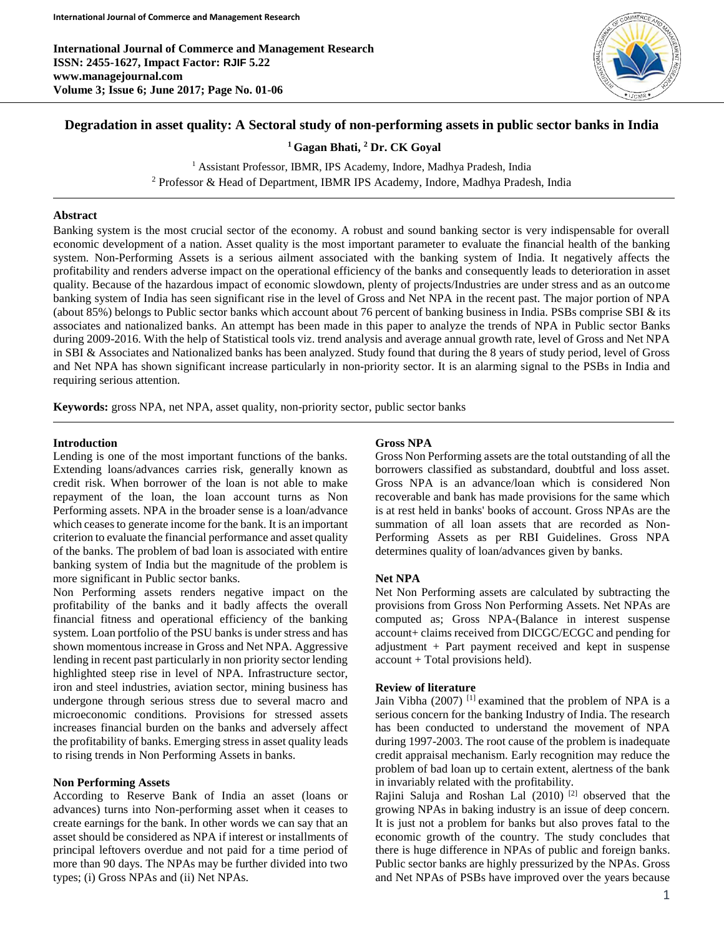

# **Degradation in asset quality: A Sectoral study of non-performing assets in public sector banks in India**

**<sup>1</sup> Gagan Bhati, <sup>2</sup> Dr. CK Goyal**

<sup>1</sup> Assistant Professor, IBMR, IPS Academy, Indore, Madhya Pradesh, India <sup>2</sup> Professor & Head of Department, IBMR IPS Academy, Indore, Madhya Pradesh, India

## **Abstract**

Banking system is the most crucial sector of the economy. A robust and sound banking sector is very indispensable for overall economic development of a nation. Asset quality is the most important parameter to evaluate the financial health of the banking system. Non-Performing Assets is a serious ailment associated with the banking system of India. It negatively affects the profitability and renders adverse impact on the operational efficiency of the banks and consequently leads to deterioration in asset quality. Because of the hazardous impact of economic slowdown, plenty of projects/Industries are under stress and as an outcome banking system of India has seen significant rise in the level of Gross and Net NPA in the recent past. The major portion of NPA (about 85%) belongs to Public sector banks which account about 76 percent of banking business in India. PSBs comprise SBI & its associates and nationalized banks. An attempt has been made in this paper to analyze the trends of NPA in Public sector Banks during 2009-2016. With the help of Statistical tools viz. trend analysis and average annual growth rate, level of Gross and Net NPA in SBI & Associates and Nationalized banks has been analyzed. Study found that during the 8 years of study period, level of Gross and Net NPA has shown significant increase particularly in non-priority sector. It is an alarming signal to the PSBs in India and requiring serious attention.

**Keywords:** gross NPA, net NPA, asset quality, non-priority sector, public sector banks

### **Introduction**

Lending is one of the most important functions of the banks. Extending loans/advances carries risk, generally known as credit risk. When borrower of the loan is not able to make repayment of the loan, the loan account turns as Non Performing assets. NPA in the broader sense is a loan/advance which ceases to generate income for the bank. It is an important criterion to evaluate the financial performance and asset quality of the banks. The problem of bad loan is associated with entire banking system of India but the magnitude of the problem is more significant in Public sector banks.

Non Performing assets renders negative impact on the profitability of the banks and it badly affects the overall financial fitness and operational efficiency of the banking system. Loan portfolio of the PSU banks is under stress and has shown momentous increase in Gross and Net NPA. Aggressive lending in recent past particularly in non priority sector lending highlighted steep rise in level of NPA. Infrastructure sector, iron and steel industries, aviation sector, mining business has undergone through serious stress due to several macro and microeconomic conditions. Provisions for stressed assets increases financial burden on the banks and adversely affect the profitability of banks. Emerging stress in asset quality leads to rising trends in Non Performing Assets in banks.

## **Non Performing Assets**

According to Reserve Bank of India an asset (loans or advances) turns into Non-performing asset when it ceases to create earnings for the bank. In other words we can say that an asset should be considered as NPA if interest or installments of principal leftovers overdue and not paid for a time period of more than 90 days. The NPAs may be further divided into two types; (i) Gross NPAs and (ii) Net NPAs.

### **Gross NPA**

Gross Non Performing assets are the total outstanding of all the borrowers classified as substandard, doubtful and loss asset. Gross NPA is an advance/loan which is considered Non recoverable and bank has made provisions for the same which is at rest held in banks' books of account. Gross NPAs are the summation of all loan assets that are recorded as Non-Performing Assets as per RBI Guidelines. Gross NPA determines quality of loan/advances given by banks.

## **Net NPA**

Net Non Performing assets are calculated by subtracting the provisions from Gross Non Performing Assets. Net NPAs are computed as; Gross NPA-(Balance in interest suspense account+ claims received from DICGC/ECGC and pending for adjustment + Part payment received and kept in suspense account + Total provisions held).

#### **Review of literature**

Jain Vibha (2007) [1] examined that the problem of NPA is a serious concern for the banking Industry of India. The research has been conducted to understand the movement of NPA during 1997-2003. The root cause of the problem is inadequate credit appraisal mechanism. Early recognition may reduce the problem of bad loan up to certain extent, alertness of the bank in invariably related with the profitability.

Rajini Saluja and Roshan Lal (2010) [2] observed that the growing NPAs in baking industry is an issue of deep concern. It is just not a problem for banks but also proves fatal to the economic growth of the country. The study concludes that there is huge difference in NPAs of public and foreign banks. Public sector banks are highly pressurized by the NPAs. Gross and Net NPAs of PSBs have improved over the years because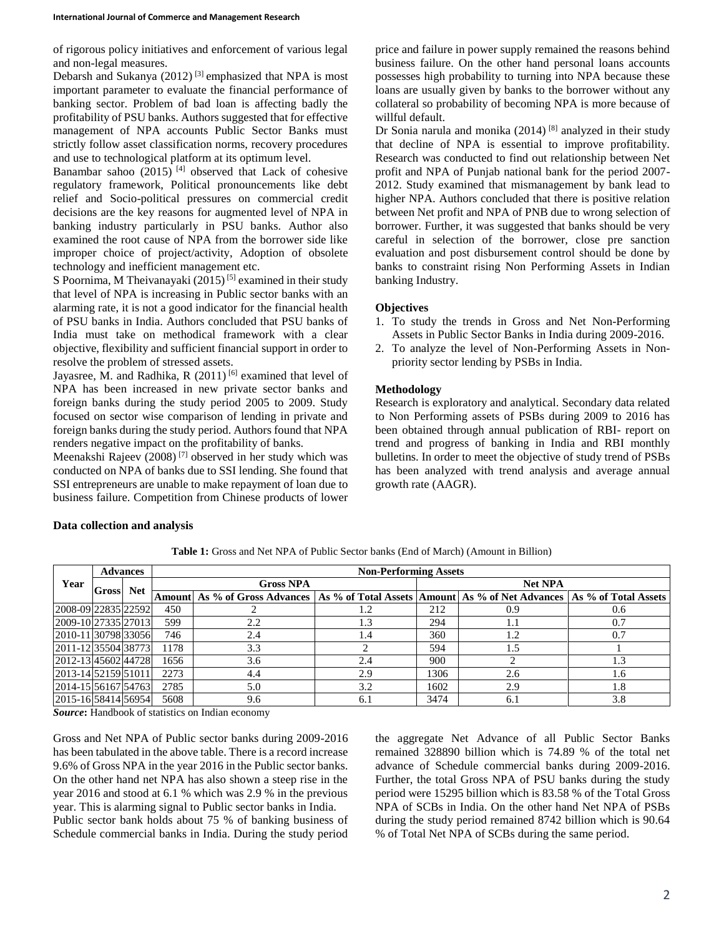of rigorous policy initiatives and enforcement of various legal and non-legal measures.

Debarsh and Sukanya (2012)<sup>[3]</sup> emphasized that NPA is most important parameter to evaluate the financial performance of banking sector. Problem of bad loan is affecting badly the profitability of PSU banks. Authors suggested that for effective management of NPA accounts Public Sector Banks must strictly follow asset classification norms, recovery procedures and use to technological platform at its optimum level.

Banambar sahoo  $(2015)$ <sup>[4]</sup> observed that Lack of cohesive regulatory framework, Political pronouncements like debt relief and Socio-political pressures on commercial credit decisions are the key reasons for augmented level of NPA in banking industry particularly in PSU banks. Author also examined the root cause of NPA from the borrower side like improper choice of project/activity, Adoption of obsolete technology and inefficient management etc.

S Poornima, M Theivanayaki (2015)<sup>[5]</sup> examined in their study that level of NPA is increasing in Public sector banks with an alarming rate, it is not a good indicator for the financial health of PSU banks in India. Authors concluded that PSU banks of India must take on methodical framework with a clear objective, flexibility and sufficient financial support in order to resolve the problem of stressed assets.

Jayasree, M. and Radhika, R (2011)<sup>[6]</sup> examined that level of NPA has been increased in new private sector banks and foreign banks during the study period 2005 to 2009. Study focused on sector wise comparison of lending in private and foreign banks during the study period. Authors found that NPA renders negative impact on the profitability of banks.

Meenakshi Rajeev (2008) [7] observed in her study which was conducted on NPA of banks due to SSI lending. She found that SSI entrepreneurs are unable to make repayment of loan due to business failure. Competition from Chinese products of lower

price and failure in power supply remained the reasons behind business failure. On the other hand personal loans accounts possesses high probability to turning into NPA because these loans are usually given by banks to the borrower without any collateral so probability of becoming NPA is more because of willful default.

Dr Sonia narula and monika (2014)<sup>[8]</sup> analyzed in their study that decline of NPA is essential to improve profitability. Research was conducted to find out relationship between Net profit and NPA of Punjab national bank for the period 2007- 2012. Study examined that mismanagement by bank lead to higher NPA. Authors concluded that there is positive relation between Net profit and NPA of PNB due to wrong selection of borrower. Further, it was suggested that banks should be very careful in selection of the borrower, close pre sanction evaluation and post disbursement control should be done by banks to constraint rising Non Performing Assets in Indian banking Industry.

### **Objectives**

- 1. To study the trends in Gross and Net Non-Performing Assets in Public Sector Banks in India during 2009-2016.
- 2. To analyze the level of Non-Performing Assets in Nonpriority sector lending by PSBs in India.

### **Methodology**

Research is exploratory and analytical. Secondary data related to Non Performing assets of PSBs during 2009 to 2016 has been obtained through annual publication of RBI- report on trend and progress of banking in India and RBI monthly bulletins. In order to meet the objective of study trend of PSBs has been analyzed with trend analysis and average annual growth rate (AAGR).

#### **Data collection and analysis**

| Year                 | <b>Advances</b> |            | <b>Non-Performing Assets</b> |                                                                                      |     |                |     |                      |  |  |  |
|----------------------|-----------------|------------|------------------------------|--------------------------------------------------------------------------------------|-----|----------------|-----|----------------------|--|--|--|
|                      | <b>Gross</b>    | <b>Net</b> |                              | <b>Gross NPA</b>                                                                     |     | <b>Net NPA</b> |     |                      |  |  |  |
|                      |                 |            |                              | Amount As % of Gross Advances   As % of Total Assets   Amount   As % of Net Advances |     |                |     | As % of Total Assets |  |  |  |
| 2008-09 22835 22592  |                 |            | 450                          |                                                                                      | 1.2 | 212            | 0.9 | 0.6                  |  |  |  |
| 2009-10 27335 27013  |                 |            | 599                          | 2.2                                                                                  | 1.3 | 294            | 1.1 | 0.7                  |  |  |  |
| 2010-11 30798 33056  |                 |            | 746                          | 2.4                                                                                  | 1.4 | 360            | 1.2 | 0.7                  |  |  |  |
| 2011-12 35504 38773  |                 |            | 1178                         | 3.3                                                                                  |     | 594            | 1.5 |                      |  |  |  |
| 2012-13 45602 44728  |                 |            | 1656                         | 3.6                                                                                  | 2.4 | 900            |     | 1.3                  |  |  |  |
| 2013-14 52159 51011  |                 |            | 2273                         | 4.4                                                                                  | 2.9 | 1306           | 2.6 | 1.6                  |  |  |  |
| 2014-15 56167 54763  |                 |            | 2785                         | 5.0                                                                                  | 3.2 | 1602           | 2.9 | 1.8                  |  |  |  |
| 2015-16 584 14 56954 |                 |            | 5608                         | 9.6                                                                                  | 6.1 | 3474           | 6.1 | 3.8                  |  |  |  |

**Table 1:** Gross and Net NPA of Public Sector banks (End of March) (Amount in Billion)

*Source***:** Handbook of statistics on Indian economy

Gross and Net NPA of Public sector banks during 2009-2016 has been tabulated in the above table. There is a record increase 9.6% of Gross NPA in the year 2016 in the Public sector banks. On the other hand net NPA has also shown a steep rise in the year 2016 and stood at 6.1 % which was 2.9 % in the previous year. This is alarming signal to Public sector banks in India. Public sector bank holds about 75 % of banking business of Schedule commercial banks in India. During the study period

the aggregate Net Advance of all Public Sector Banks remained 328890 billion which is 74.89 % of the total net advance of Schedule commercial banks during 2009-2016. Further, the total Gross NPA of PSU banks during the study period were 15295 billion which is 83.58 % of the Total Gross NPA of SCBs in India. On the other hand Net NPA of PSBs during the study period remained 8742 billion which is 90.64 % of Total Net NPA of SCBs during the same period.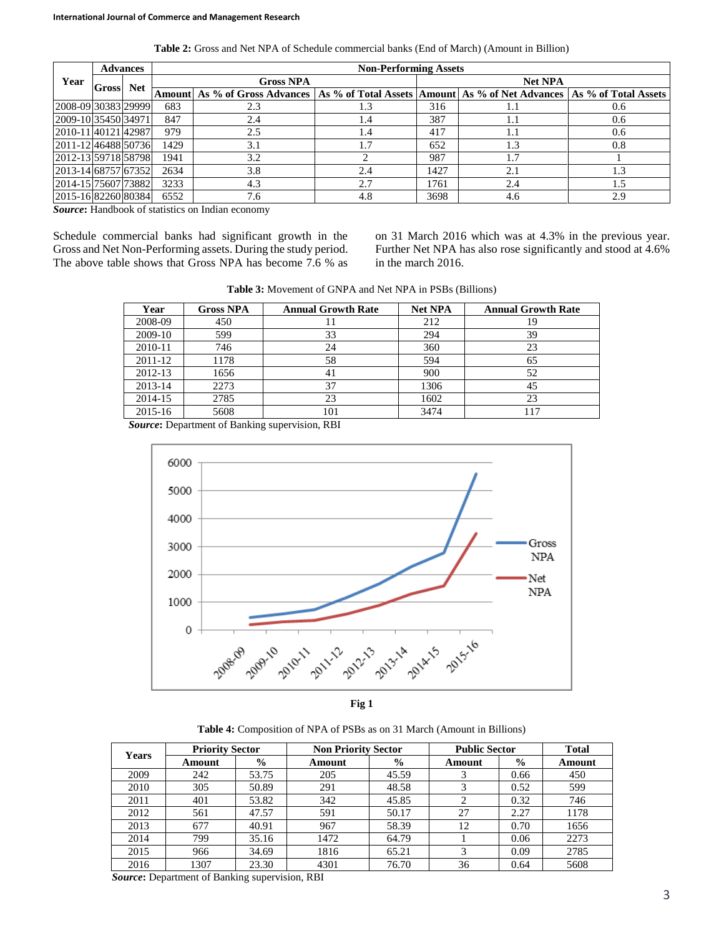| Year                | <b>Advances</b> |            | <b>Non-Performing Assets</b> |                                                                                                             |     |      |                |     |  |  |  |
|---------------------|-----------------|------------|------------------------------|-------------------------------------------------------------------------------------------------------------|-----|------|----------------|-----|--|--|--|
|                     | <b>Gross</b>    | <b>Net</b> | <b>Gross NPA</b>             |                                                                                                             |     |      | <b>Net NPA</b> |     |  |  |  |
|                     |                 |            |                              | Amount As % of Gross Advances   As % of Total Assets   Amount   As % of Net Advances   As % of Total Assets |     |      |                |     |  |  |  |
| 2008-09 30383 29999 |                 |            | 683                          | 2.3                                                                                                         | 1.3 | 316  | 1.1            | 0.6 |  |  |  |
| 2009-10 35450 34971 |                 |            | 847                          | 2.4                                                                                                         | 1.4 | 387  | 1.1            | 0.6 |  |  |  |
| 2010-11 40121 42987 |                 |            | 979                          | 2.5                                                                                                         | 1.4 | 417  | 1.1            | 0.6 |  |  |  |
| 2011-12 46488 50736 |                 |            | 1429                         | 3.1                                                                                                         | 1.7 | 652  | 1.3            | 0.8 |  |  |  |
| 2012-13 59718 58798 |                 |            | 1941                         | 3.2                                                                                                         |     | 987  | 1.7            |     |  |  |  |
| 2013-14 68757 67352 |                 |            | 2634                         | 3.8                                                                                                         | 2.4 | 1427 | 2.1            | 1.3 |  |  |  |
| 2014-15 75607 73882 |                 |            | 3233                         | 4.3                                                                                                         | 2.7 | 1761 | 2.4            | 1.5 |  |  |  |
| 2015-16 82260 80384 |                 |            | 6552                         | 7.6                                                                                                         | 4.8 | 3698 | 4.6            | 2.9 |  |  |  |

**Table 2:** Gross and Net NPA of Schedule commercial banks (End of March) (Amount in Billion)

*Source***:** Handbook of statistics on Indian economy

Schedule commercial banks had significant growth in the Gross and Net Non-Performing assets. During the study period. The above table shows that Gross NPA has become 7.6 % as on 31 March 2016 which was at 4.3% in the previous year. Further Net NPA has also rose significantly and stood at 4.6% in the march 2016.

| <b>Table 3:</b> Movement of GNPA and Net NPA in PSBs (Billions) |  |  |
|-----------------------------------------------------------------|--|--|
|-----------------------------------------------------------------|--|--|

| Year    | <b>Gross NPA</b> | <b>Annual Growth Rate</b> | <b>Net NPA</b> | <b>Annual Growth Rate</b> |
|---------|------------------|---------------------------|----------------|---------------------------|
| 2008-09 | 450              |                           | 212            | 19                        |
| 2009-10 | 599              | 33                        | 294            | 39                        |
| 2010-11 | 746              | 24                        | 360            | 23                        |
| 2011-12 | 1178             | 58                        | 594            | 65                        |
| 2012-13 | 1656             | 41                        | 900            | 52                        |
| 2013-14 | 2273             | 37                        | 1306           | 45                        |
| 2014-15 | 2785             | 23                        | 1602           | 23                        |
| 2015-16 | 5608             | 101                       | 3474           | 117                       |

*Source***:** Department of Banking supervision, RBI



**Table 4:** Composition of NPA of PSBs as on 31 March (Amount in Billions)

| <b>Years</b> | <b>Priority Sector</b> |               | <b>Non Priority Sector</b> |               | <b>Public Sector</b> |               | <b>Total</b> |
|--------------|------------------------|---------------|----------------------------|---------------|----------------------|---------------|--------------|
|              | Amount                 | $\frac{0}{0}$ | Amount                     | $\frac{6}{6}$ | Amount               | $\frac{0}{0}$ | Amount       |
| 2009         | 242                    | 53.75         | 205                        | 45.59         |                      | 0.66          | 450          |
| 2010         | 305                    | 50.89         | 291                        | 48.58         | 3                    | 0.52          | 599          |
| 2011         | 401                    | 53.82         | 342                        | 45.85         |                      | 0.32          | 746          |
| 2012         | 561                    | 47.57         | 591                        | 50.17         | 27                   | 2.27          | 1178         |
| 2013         | 677                    | 40.91         | 967                        | 58.39         | 12                   | 0.70          | 1656         |
| 2014         | 799                    | 35.16         | 1472                       | 64.79         |                      | 0.06          | 2273         |
| 2015         | 966                    | 34.69         | 1816                       | 65.21         | 3                    | 0.09          | 2785         |
| 2016         | 1307                   | 23.30         | 4301                       | 76.70         | 36                   | 0.64          | 5608         |

*Source***:** Department of Banking supervision, RBI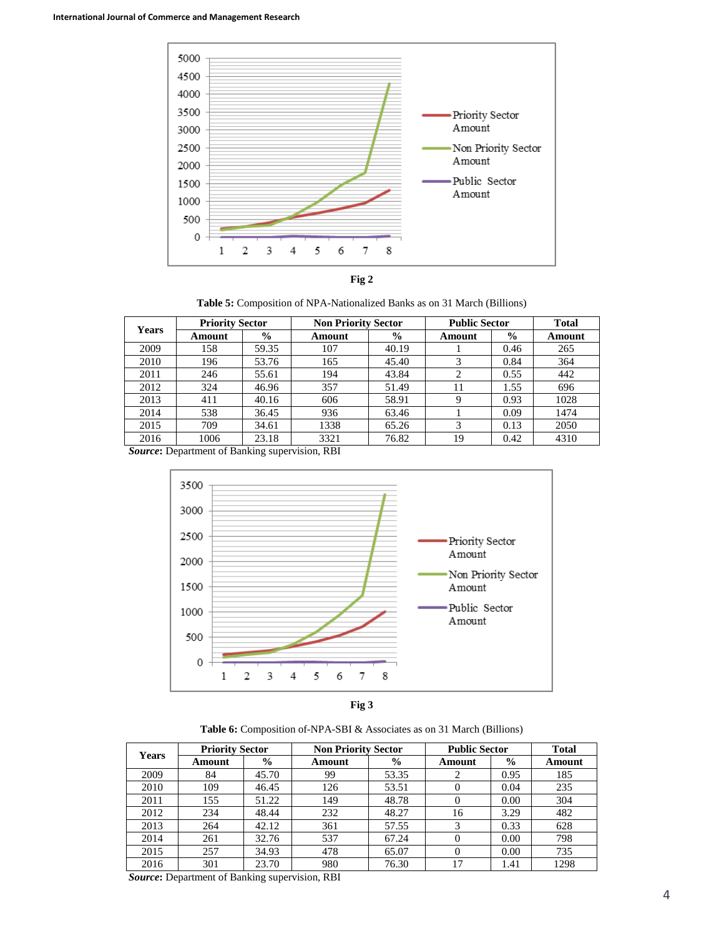



**Table 5:** Composition of NPA-Nationalized Banks as on 31 March (Billions)

| <b>Years</b> | <b>Priority Sector</b> |               | <b>Non Priority Sector</b> |               | <b>Public Sector</b> |               | <b>Total</b> |
|--------------|------------------------|---------------|----------------------------|---------------|----------------------|---------------|--------------|
|              | Amount                 | $\frac{6}{9}$ | Amount                     | $\frac{6}{9}$ | Amount               | $\frac{6}{9}$ | Amount       |
| 2009         | 158                    | 59.35         | 107                        | 40.19         |                      | 0.46          | 265          |
| 2010         | 196                    | 53.76         | 165                        | 45.40         | 3                    | 0.84          | 364          |
| 2011         | 246                    | 55.61         | 194                        | 43.84         | ↑                    | 0.55          | 442          |
| 2012         | 324                    | 46.96         | 357                        | 51.49         | 11                   | 1.55          | 696          |
| 2013         | 411                    | 40.16         | 606                        | 58.91         | 9                    | 0.93          | 1028         |
| 2014         | 538                    | 36.45         | 936                        | 63.46         |                      | 0.09          | 1474         |
| 2015         | 709                    | 34.61         | 1338                       | 65.26         | 3                    | 0.13          | 2050         |
| 2016         | 1006                   | 23.18         | 3321                       | 76.82         | 19                   | 0.42          | 4310         |

*Source***:** Department of Banking supervision, RBI





**Table 6:** Composition of-NPA-SBI & Associates as on 31 March (Billions)

| <b>Years</b> | <b>Priority Sector</b> |               | <b>Non Priority Sector</b> |               | <b>Public Sector</b> |               | <b>Total</b> |
|--------------|------------------------|---------------|----------------------------|---------------|----------------------|---------------|--------------|
|              | Amount                 | $\frac{0}{0}$ | Amount                     | $\frac{6}{6}$ | Amount               | $\frac{6}{9}$ | Amount       |
| 2009         | 84                     | 45.70         | 99                         | 53.35         |                      | 0.95          | 185          |
| 2010         | 109                    | 46.45         | 126                        | 53.51         | 0                    | 0.04          | 235          |
| 2011         | 155                    | 51.22         | 149                        | 48.78         | 0                    | 0.00          | 304          |
| 2012         | 234                    | 48.44         | 232                        | 48.27         | 16                   | 3.29          | 482          |
| 2013         | 264                    | 42.12         | 361                        | 57.55         | 3                    | 0.33          | 628          |
| 2014         | 261                    | 32.76         | 537                        | 67.24         | $\theta$             | 0.00          | 798          |
| 2015         | 257                    | 34.93         | 478                        | 65.07         | 0                    | 0.00          | 735          |
| 2016         | 301                    | 23.70         | 980                        | 76.30         | 17                   | 1.41          | 1298         |

*Source***:** Department of Banking supervision, RBI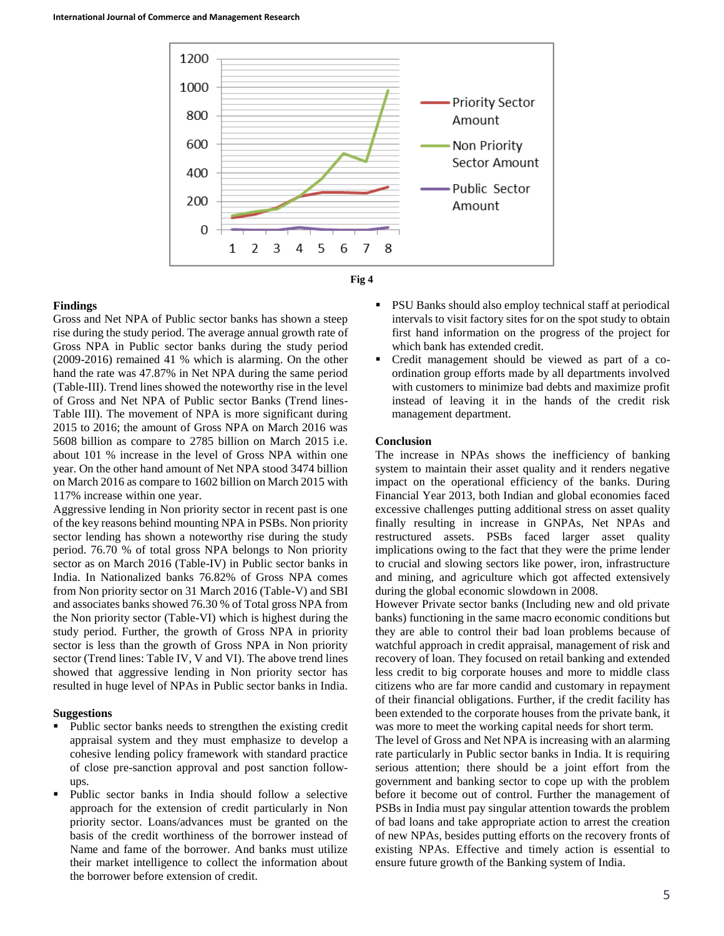



#### **Findings**

Gross and Net NPA of Public sector banks has shown a steep rise during the study period. The average annual growth rate of Gross NPA in Public sector banks during the study period (2009-2016) remained 41 % which is alarming. On the other hand the rate was 47.87% in Net NPA during the same period (Table-III). Trend lines showed the noteworthy rise in the level of Gross and Net NPA of Public sector Banks (Trend lines-Table III). The movement of NPA is more significant during 2015 to 2016; the amount of Gross NPA on March 2016 was 5608 billion as compare to 2785 billion on March 2015 i.e. about 101 % increase in the level of Gross NPA within one year. On the other hand amount of Net NPA stood 3474 billion on March 2016 as compare to 1602 billion on March 2015 with 117% increase within one year.

Aggressive lending in Non priority sector in recent past is one of the key reasons behind mounting NPA in PSBs. Non priority sector lending has shown a noteworthy rise during the study period. 76.70 % of total gross NPA belongs to Non priority sector as on March 2016 (Table-IV) in Public sector banks in India. In Nationalized banks 76.82% of Gross NPA comes from Non priority sector on 31 March 2016 (Table-V) and SBI and associates banks showed 76.30 % of Total gross NPA from the Non priority sector (Table-VI) which is highest during the study period. Further, the growth of Gross NPA in priority sector is less than the growth of Gross NPA in Non priority sector (Trend lines: Table IV, V and VI). The above trend lines showed that aggressive lending in Non priority sector has resulted in huge level of NPAs in Public sector banks in India.

### **Suggestions**

- Public sector banks needs to strengthen the existing credit appraisal system and they must emphasize to develop a cohesive lending policy framework with standard practice of close pre-sanction approval and post sanction followups.
- Public sector banks in India should follow a selective approach for the extension of credit particularly in Non priority sector. Loans/advances must be granted on the basis of the credit worthiness of the borrower instead of Name and fame of the borrower. And banks must utilize their market intelligence to collect the information about the borrower before extension of credit.
- PSU Banks should also employ technical staff at periodical intervals to visit factory sites for on the spot study to obtain first hand information on the progress of the project for which bank has extended credit.
- Credit management should be viewed as part of a coordination group efforts made by all departments involved with customers to minimize bad debts and maximize profit instead of leaving it in the hands of the credit risk management department.

### **Conclusion**

The increase in NPAs shows the inefficiency of banking system to maintain their asset quality and it renders negative impact on the operational efficiency of the banks. During Financial Year 2013, both Indian and global economies faced excessive challenges putting additional stress on asset quality finally resulting in increase in GNPAs, Net NPAs and restructured assets. PSBs faced larger asset quality implications owing to the fact that they were the prime lender to crucial and slowing sectors like power, iron, infrastructure and mining, and agriculture which got affected extensively during the global economic slowdown in 2008.

However Private sector banks (Including new and old private banks) functioning in the same macro economic conditions but they are able to control their bad loan problems because of watchful approach in credit appraisal, management of risk and recovery of loan. They focused on retail banking and extended less credit to big corporate houses and more to middle class citizens who are far more candid and customary in repayment of their financial obligations. Further, if the credit facility has been extended to the corporate houses from the private bank, it was more to meet the working capital needs for short term.

The level of Gross and Net NPA is increasing with an alarming rate particularly in Public sector banks in India. It is requiring serious attention; there should be a joint effort from the government and banking sector to cope up with the problem before it become out of control. Further the management of PSBs in India must pay singular attention towards the problem of bad loans and take appropriate action to arrest the creation of new NPAs, besides putting efforts on the recovery fronts of existing NPAs. Effective and timely action is essential to ensure future growth of the Banking system of India.